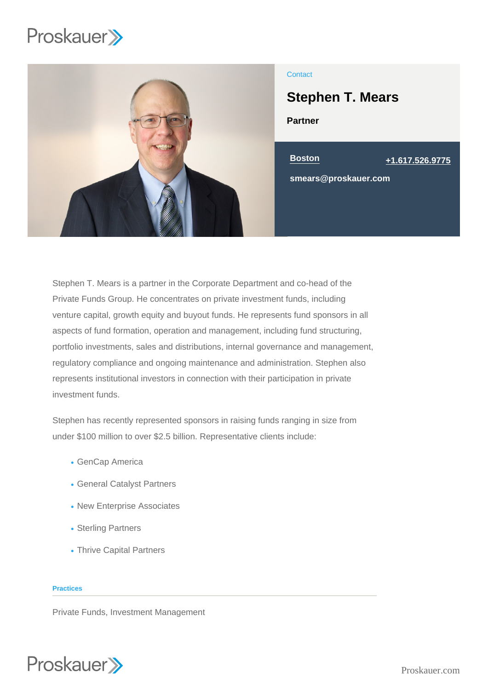

## **Contact**

# Stephen T. Mears

Partner



Stephen T. Mears is a partner in the Corporate Department and co-head of the Private Funds Group. He concentrates on private investment funds, including venture capital, growth equity and buyout funds. He represents fund sponsors in all aspects of fund formation, operation and management, including fund structuring, portfolio investments, sales and distributions, internal governance and management, regulatory compliance and ongoing maintenance and administration. Stephen also represents institutional investors in connection with their participation in private investment funds.

Stephen has recently represented sponsors in raising funds ranging in size from under \$100 million to over \$2.5 billion. Representative clients include:

- GenCap America
- General Catalyst Partners
- New Enterprise Associates
- Sterling Partners
- Thrive Capital Partners

#### **Practices**

Private Funds, Investment Management